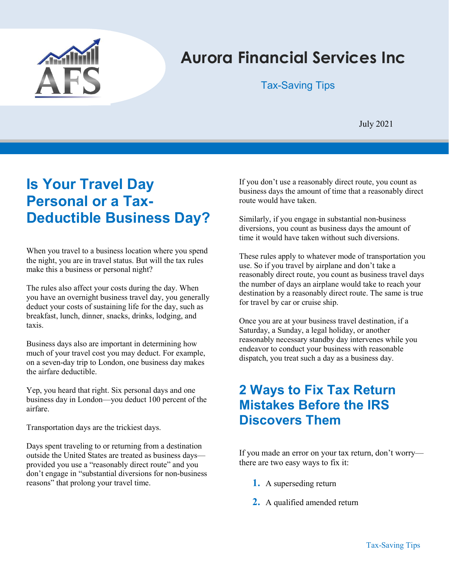

# Aurora Financial Services Inc

#### Tax-Saving Tips

July 2021

## Is Your Travel Day Personal or a Tax-Deductible Business Day?

When you travel to a business location where you spend the night, you are in travel status. But will the tax rules make this a business or personal night?

The rules also affect your costs during the day. When you have an overnight business travel day, you generally deduct your costs of sustaining life for the day, such as breakfast, lunch, dinner, snacks, drinks, lodging, and taxis.

Business days also are important in determining how much of your travel cost you may deduct. For example, on a seven-day trip to London, one business day makes the airfare deductible.

Yep, you heard that right. Six personal days and one business day in London—you deduct 100 percent of the airfare.

Transportation days are the trickiest days.

Days spent traveling to or returning from a destination outside the United States are treated as business days provided you use a "reasonably direct route" and you don't engage in "substantial diversions for non-business reasons" that prolong your travel time.

If you don't use a reasonably direct route, you count as business days the amount of time that a reasonably direct route would have taken.

Similarly, if you engage in substantial non-business diversions, you count as business days the amount of time it would have taken without such diversions.

These rules apply to whatever mode of transportation you use. So if you travel by airplane and don't take a reasonably direct route, you count as business travel days the number of days an airplane would take to reach your destination by a reasonably direct route. The same is true for travel by car or cruise ship.

Once you are at your business travel destination, if a Saturday, a Sunday, a legal holiday, or another reasonably necessary standby day intervenes while you endeavor to conduct your business with reasonable dispatch, you treat such a day as a business day.

### 2 Ways to Fix Tax Return Mistakes Before the IRS Discovers Them

If you made an error on your tax return, don't worry there are two easy ways to fix it:

- 1. A superseding return
- 2. A qualified amended return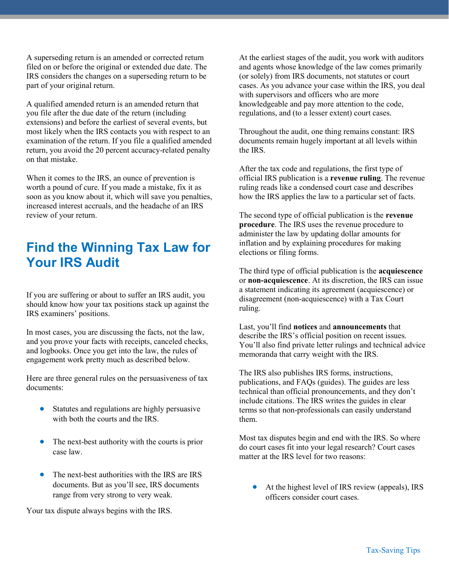A superseding return is an amended or corrected return filed on or before the original or extended due date. The IRS considers the changes on a superseding return to be part of your original return.

A qualified amended return is an amended return that you file after the due date of the return (including extensions) and before the earliest of several events, but most likely when the IRS contacts you with respect to an examination of the return. If you file a qualified amended return, you avoid the 20 percent accuracy-related penalty on that mistake.

When it comes to the IRS, an ounce of prevention is worth a pound of cure. If you made a mistake, fix it as soon as you know about it, which will save you penalties, increased interest accruals, and the headache of an IRS review of your return.

#### Find the Winning Tax Law for Your IRS Audit

If you are suffering or about to suffer an IRS audit, you should know how your tax positions stack up against the IRS examiners' positions.

In most cases, you are discussing the facts, not the law, and you prove your facts with receipts, canceled checks, and logbooks. Once you get into the law, the rules of engagement work pretty much as described below.

Here are three general rules on the persuasiveness of tax documents:

- Statutes and regulations are highly persuasive with both the courts and the IRS.
- The next-best authority with the courts is prior case law.
- The next-best authorities with the IRS are IRS documents. But as you'll see, IRS documents range from very strong to very weak.

Your tax dispute always begins with the IRS.

At the earliest stages of the audit, you work with auditors and agents whose knowledge of the law comes primarily (or solely) from IRS documents, not statutes or court cases. As you advance your case within the IRS, you deal with supervisors and officers who are more knowledgeable and pay more attention to the code, regulations, and (to a lesser extent) court cases.

Throughout the audit, one thing remains constant: IRS documents remain hugely important at all levels within the IRS.

After the tax code and regulations, the first type of official IRS publication is a revenue ruling. The revenue ruling reads like a condensed court case and describes how the IRS applies the law to a particular set of facts.

The second type of official publication is the revenue procedure. The IRS uses the revenue procedure to administer the law by updating dollar amounts for inflation and by explaining procedures for making elections or filing forms.

The third type of official publication is the acquiescence or non-acquiescence. At its discretion, the IRS can issue a statement indicating its agreement (acquiescence) or disagreement (non-acquiescence) with a Tax Court ruling.

Last, you'll find notices and announcements that describe the IRS's official position on recent issues. You'll also find private letter rulings and technical advice memoranda that carry weight with the IRS.

The IRS also publishes IRS forms, instructions, publications, and FAQs (guides). The guides are less technical than official pronouncements, and they don't include citations. The IRS writes the guides in clear terms so that non-professionals can easily understand them.

Most tax disputes begin and end with the IRS. So where do court cases fit into your legal research? Court cases matter at the IRS level for two reasons:

 At the highest level of IRS review (appeals), IRS officers consider court cases.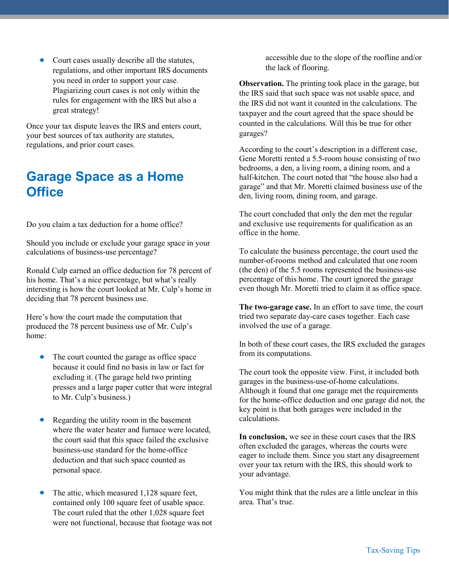Court cases usually describe all the statutes, regulations, and other important IRS documents you need in order to support your case. Plagiarizing court cases is not only within the rules for engagement with the IRS but also a great strategy!

Once your tax dispute leaves the IRS and enters court, your best sources of tax authority are statutes, regulations, and prior court cases.

#### Garage Space as a Home **Office**

Do you claim a tax deduction for a home office?

Should you include or exclude your garage space in your calculations of business-use percentage?

Ronald Culp earned an office deduction for 78 percent of his home. That's a nice percentage, but what's really interesting is how the court looked at Mr. Culp's home in deciding that 78 percent business use.

Here's how the court made the computation that produced the 78 percent business use of Mr. Culp's home:

- The court counted the garage as office space because it could find no basis in law or fact for excluding it. (The garage held two printing presses and a large paper cutter that were integral to Mr. Culp's business.)
- Regarding the utility room in the basement where the water heater and furnace were located, the court said that this space failed the exclusive business-use standard for the home-office deduction and that such space counted as personal space.
- The attic, which measured 1,128 square feet, contained only 100 square feet of usable space. The court ruled that the other 1,028 square feet were not functional, because that footage was not

accessible due to the slope of the roofline and/or the lack of flooring.

Observation. The printing took place in the garage, but the IRS said that such space was not usable space, and the IRS did not want it counted in the calculations. The taxpayer and the court agreed that the space should be counted in the calculations. Will this be true for other garages?

According to the court's description in a different case, Gene Moretti rented a 5.5-room house consisting of two bedrooms, a den, a living room, a dining room, and a half-kitchen. The court noted that "the house also had a garage" and that Mr. Moretti claimed business use of the den, living room, dining room, and garage.

The court concluded that only the den met the regular and exclusive use requirements for qualification as an office in the home.

To calculate the business percentage, the court used the number-of-rooms method and calculated that one room (the den) of the 5.5 rooms represented the business-use percentage of this home. The court ignored the garage even though Mr. Moretti tried to claim it as office space.

The two-garage case. In an effort to save time, the court tried two separate day-care cases together. Each case involved the use of a garage.

In both of these court cases, the IRS excluded the garages from its computations.

The court took the opposite view. First, it included both garages in the business-use-of-home calculations. Although it found that one garage met the requirements for the home-office deduction and one garage did not, the key point is that both garages were included in the calculations.

In conclusion, we see in these court cases that the IRS often excluded the garages, whereas the courts were eager to include them. Since you start any disagreement over your tax return with the IRS, this should work to your advantage.

You might think that the rules are a little unclear in this area. That's true.